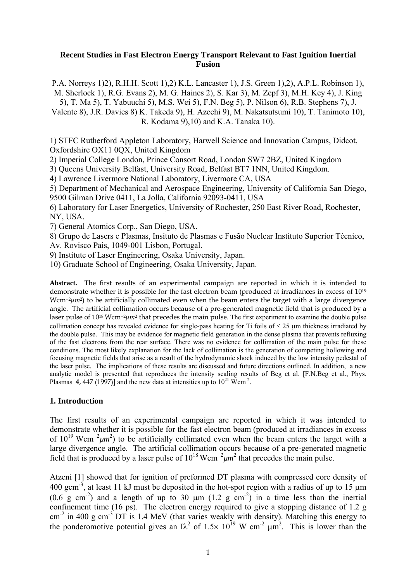## **Recent Studies in Fast Electron Energy Transport Relevant to Fast Ignition Inertial Fusion**

P.A. Norreys 1)2), R.H.H. Scott 1),2) K.L. Lancaster 1), J.S. Green 1),2), A.P.L. Robinson 1), M. Sherlock 1), R.G. Evans 2), M. G. Haines 2), S. Kar 3), M. Zepf 3), M.H. Key 4), J. King 5), T. Ma 5), T. Yabuuchi 5), M.S. Wei 5), F.N. Beg 5), P. Nilson 6), R.B. Stephens 7), J. Valente 8), J.R. Davies 8) K. Takeda 9), H. Azechi 9), M. Nakatsutsumi 10), T. Tanimoto 10),

R. Kodama 9),10) and K.A. Tanaka 10).

1) STFC Rutherford Appleton Laboratory, Harwell Science and Innovation Campus, Didcot, Oxfordshire OX11 0QX, United Kingdom

2) Imperial College London, Prince Consort Road, London SW7 2BZ, United Kingdom

3) Queens University Belfast, University Road, Belfast BT7 1NN, United Kingdom.

4) Lawrence Livermore National Laboratory, Livermore CA, USA

5) Department of Mechanical and Aerospace Engineering, University of California San Diego, 9500 Gilman Drive 0411, La Jolla, California 92093-0411, USA

6) Laboratory for Laser Energetics, University of Rochester, 250 East River Road, Rochester, NY, USA.

7) General Atomics Corp., San Diego, USA.

8) Grupo de Lasers e Plasmas, Insituto de Plasmas e Fusão Nuclear Instituto Superior Técnico, Av. Rovisco Pais, 1049-001 Lisbon, Portugal.

9) Institute of Laser Engineering, Osaka University, Japan.

10) Graduate School of Engineering, Osaka University, Japan.

**Abstract.** The first results of an experimental campaign are reported in which it is intended to demonstrate whether it is possible for the fast electron beam (produced at irradiances in excess of 1019 Wcm<sup>-2</sup>µm<sup>2</sup>) to be artificially collimated even when the beam enters the target with a large divergence angle. The artificial collimation occurs because of a pre-generated magnetic field that is produced by a laser pulse of 1018 Wcm−2*µm*2 that precedes the main pulse. The first experiment to examine the double pulse collimation concept has revealed evidence for single-pass heating for Ti foils of  $\leq 25$  µm thickness irradiated by the double pulse. This may be evidence for magnetic field generation in the dense plasma that prevents refluxing of the fast electrons from the rear surface. There was no evidence for collimation of the main pulse for these conditions. The most likely explanation for the lack of collimation is the generation of competing hollowing and focusing magnetic fields that arise as a result of the hydrodynamic shock induced by the low intensity pedestal of the laser pulse. The implications of these results are discussed and future directions outlined. In addition, a new analytic model is presented that reproduces the intensity scaling results of Beg et al. [F.N.Beg et al., Phys. Plasmas **4**, 447 (1997)] and the new data at intensities up to  $10^{21}$  Wcm<sup>-2</sup>.

## **1. Introduction**

The first results of an experimental campaign are reported in which it was intended to demonstrate whether it is possible for the fast electron beam (produced at irradiances in excess of  $10^{19}$  Wcm<sup>-2</sup> $\mu$ m<sup>2</sup>) to be artificially collimated even when the beam enters the target with a large divergence angle. The artificial collimation occurs because of a pre-generated magnetic field that is produced by a laser pulse of  $10^{18}$  Wcm<sup>-2</sup> $\mu$ m<sup>2</sup> that precedes the main pulse.

Atzeni [1] showed that for ignition of preformed DT plasma with compressed core density of 400 gcm<sup>-3</sup>, at least 11 kJ must be deposited in the hot-spot region with a radius of up to 15  $\mu$ m  $(0.6 \text{ g cm}^{-2})$  and a length of up to 30  $\mu$ m  $(1.2 \text{ g cm}^{-2})$  in a time less than the inertial confinement time (16 ps). The electron energy required to give a stopping distance of 1.2 g cm<sup>-2</sup> in 400 g cm<sup>-3</sup> DT is 1.4 MeV (that varies weakly with density). Matching this energy to the ponderomotive potential gives an  $I\lambda^2$  of 1.5× 10<sup>19</sup> W cm<sup>-2</sup>  $\mu$ m<sup>2</sup>. This is lower than the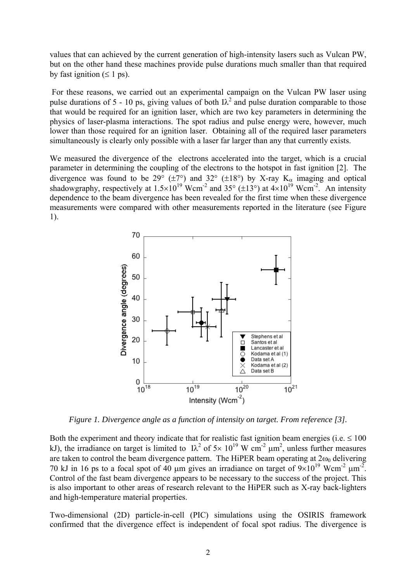values that can achieved by the current generation of high-intensity lasers such as Vulcan PW, but on the other hand these machines provide pulse durations much smaller than that required by fast ignition  $( \leq 1 \text{ ps})$ .

For these reasons, we carried out an experimental campaign on the Vulcan PW laser using pulse durations of 5 - 10 ps, giving values of both  $\lambda^2$  and pulse duration comparable to those that would be required for an ignition laser, which are two key parameters in determining the physics of laser-plasma interactions. The spot radius and pulse energy were, however, much lower than those required for an ignition laser. Obtaining all of the required laser parameters simultaneously is clearly only possible with a laser far larger than any that currently exists.

We measured the divergence of the electrons accelerated into the target, which is a crucial parameter in determining the coupling of the electrons to the hotspot in fast ignition [2]. The divergence was found to be 29° ( $\pm$ 7°) and 32° ( $\pm$ 18°) by X-ray K<sub>α</sub> imaging and optical shadowgraphy, respectively at  $1.5 \times 10^{19}$  Wcm<sup>-2</sup> and 35° ( $\pm 13$ °) at  $4 \times 10^{19}$  Wcm<sup>-2</sup>. An intensity dependence to the beam divergence has been revealed for the first time when these divergence measurements were compared with other measurements reported in the literature (see Figure 1).



*Figure 1. Divergence angle as a function of intensity on target. From reference [3].*

Both the experiment and theory indicate that for realistic fast ignition beam energies (i.e.  $\leq 100$ ) kJ), the irradiance on target is limited to  $1\lambda^2$  of  $5\times 10^{19}$  W cm<sup>-2</sup>  $\mu$ m<sup>2</sup>, unless further measures are taken to control the beam divergence pattern. The HiPER beam operating at  $2\omega_0$  delivering 70 kJ in 16 ps to a focal spot of 40  $\mu$ m gives an irradiance on target of  $9 \times 10^{19}$  Wcm<sup>-2</sup>  $\mu$ m<sup>-2</sup>. Control of the fast beam divergence appears to be necessary to the success of the project. This is also important to other areas of research relevant to the HiPER such as X-ray back-lighters and high-temperature material properties.

Two-dimensional (2D) particle-in-cell (PIC) simulations using the OSIRIS framework confirmed that the divergence effect is independent of focal spot radius. The divergence is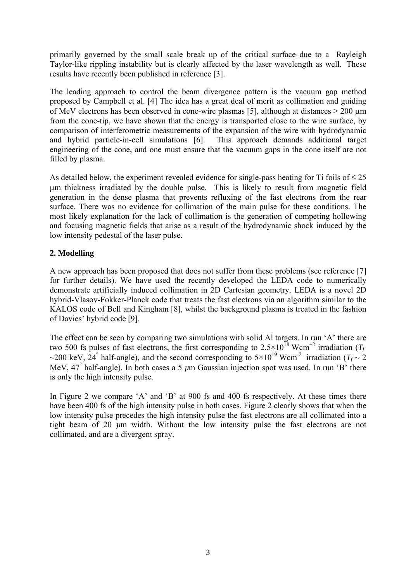primarily governed by the small scale break up of the critical surface due to a Rayleigh Taylor-like rippling instability but is clearly affected by the laser wavelength as well. These results have recently been published in reference [3].

The leading approach to control the beam divergence pattern is the vacuum gap method proposed by Campbell et al. [4] The idea has a great deal of merit as collimation and guiding of MeV electrons has been observed in cone-wire plasmas [5], although at distances > 200 µm from the cone-tip, we have shown that the energy is transported close to the wire surface, by comparison of interferometric measurements of the expansion of the wire with hydrodynamic and hybrid particle-in-cell simulations [6]. This approach demands additional target engineering of the cone, and one must ensure that the vacuum gaps in the cone itself are not filled by plasma.

As detailed below, the experiment revealed evidence for single-pass heating for Ti foils of  $\leq 25$ µm thickness irradiated by the double pulse. This is likely to result from magnetic field generation in the dense plasma that prevents refluxing of the fast electrons from the rear surface. There was no evidence for collimation of the main pulse for these conditions. The most likely explanation for the lack of collimation is the generation of competing hollowing and focusing magnetic fields that arise as a result of the hydrodynamic shock induced by the low intensity pedestal of the laser pulse.

# **2. Modelling**

A new approach has been proposed that does not suffer from these problems (see reference [7] for further details). We have used the recently developed the LEDA code to numerically demonstrate artificially induced collimation in 2D Cartesian geometry. LEDA is a novel 2D hybrid-Vlasov-Fokker-Planck code that treats the fast electrons via an algorithm similar to the KALOS code of Bell and Kingham [8], whilst the background plasma is treated in the fashion of Davies' hybrid code [9].

The effect can be seen by comparing two simulations with solid Al targets. In run 'A' there are two 500 fs pulses of fast electrons, the first corresponding to  $2.5 \times 10^{18}$  Wcm<sup>-2</sup> irradiation (*T<sub>f</sub>* ~200 keV, 24° half-angle), and the second corresponding to  $5 \times 10^{19}$  Wcm<sup>-2</sup> irradiation ( $T_f \sim 2$ ) MeV, 47° half-angle). In both cases a 5 *µ*m Gaussian injection spot was used. In run 'B' there is only the high intensity pulse.

In Figure 2 we compare 'A' and 'B' at 900 fs and 400 fs respectively. At these times there have been 400 fs of the high intensity pulse in both cases. Figure 2 clearly shows that when the low intensity pulse precedes the high intensity pulse the fast electrons are all collimated into a tight beam of 20 *µ*m width. Without the low intensity pulse the fast electrons are not collimated, and are a divergent spray.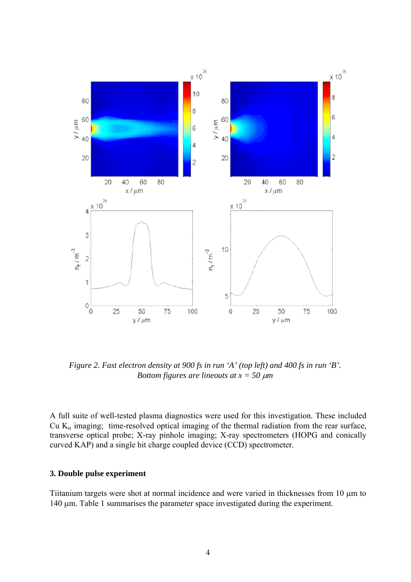

*Figure 2. Fast electron density at 900 fs in run 'A' (top left) and 400 fs in run 'B'. Bottom figures are lineouts at*  $x = 50 \mu m$ 

A full suite of well-tested plasma diagnostics were used for this investigation. These included Cu  $K_{\alpha}$  imaging; time-resolved optical imaging of the thermal radiation from the rear surface, transverse optical probe; X-ray pinhole imaging; X-ray spectrometers (HOPG and conically curved KAP) and a single hit charge coupled device (CCD) spectrometer.

# **3. Double pulse experiment**

Tiitanium targets were shot at normal incidence and were varied in thicknesses from 10 µm to 140 µm. Table 1 summarises the parameter space investigated during the experiment.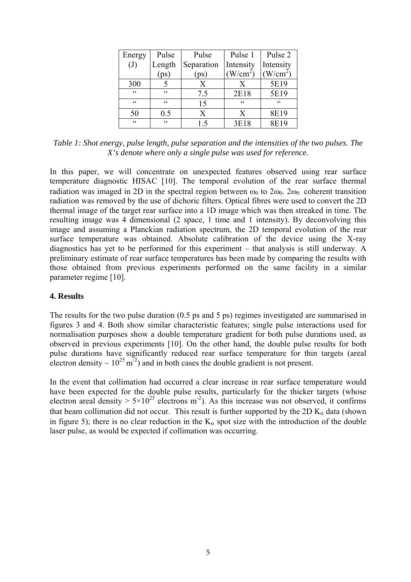| Energy                                            | Pulse   | Pulse         | Pulse 1        | Pulse 2     |
|---------------------------------------------------|---------|---------------|----------------|-------------|
| $\left( \mathrm{J}\right)$                        | Length  | Separation    | Intensity      | Intensity   |
|                                                   |         | $[\text{ps}]$ | $W/cm^2$       | $W/cm^2$    |
| 300                                               |         | X             | Χ              | 5E19        |
| $\boldsymbol{\varsigma}$                          | C C     | 7.5           | 2E18           | 5E19        |
| $\zeta\,\zeta$                                    | C C     | 15            | $\zeta\,\zeta$ | $\epsilon$  |
| 50                                                | $0.5\,$ | X             | X              | 8E19        |
| $\boldsymbol{\varsigma}$ $\boldsymbol{\varsigma}$ | C       | 15            | 3E18           | <b>8E19</b> |

*Table 1: Shot energy, pulse length, pulse separation and the intensities of the two pulses. The X's denote where only a single pulse was used for reference.* 

In this paper, we will concentrate on unexpected features observed using rear surface temperature diagnostic HISAC [10]. The temporal evolution of the rear surface thermal radiation was imaged in 2D in the spectral region between  $\omega_0$  to  $2\omega_0$ .  $2\omega_0$  coherent transition radiation was removed by the use of dichoric filters. Optical fibres were used to convert the 2D thermal image of the target rear surface into a 1D image which was then streaked in time. The resulting image was 4 dimensional (2 space, 1 time and 1 intensity). By deconvolving this image and assuming a Planckian radiation spectrum, the 2D temporal evolution of the rear surface temperature was obtained. Absolute calibration of the device using the X-ray diagnostics has yet to be performed for this experiment – that analysis is still underway. A preliminary estimate of rear surface temperatures has been made by comparing the results with those obtained from previous experiments performed on the same facility in a similar parameter regime [10].

## **4. Results**

The results for the two pulse duration (0.5 ps and 5 ps) regimes investigated are summarised in figures 3 and 4. Both show similar characteristic features; single pulse interactions used for normalisation purposes show a double temperature gradient for both pulse durations used, as observed in previous experiments [10]. On the other hand, the double pulse results for both pulse durations have significantly reduced rear surface temperature for thin targets (areal electron density  $\sim 10^{25}$  m<sup>-2</sup>) and in both cases the double gradient is not present.

In the event that collimation had occurred a clear increase in rear surface temperature would have been expected for the double pulse results, particularly for the thicker targets (whose electron areal density  $> 5 \times 10^{25}$  electrons m<sup>-2</sup>). As this increase was not observed, it confirms that beam collimation did not occur. This result is further supported by the 2D  $K_{\alpha}$  data (shown in figure 5); there is no clear reduction in the  $K_{\alpha}$  spot size with the introduction of the double laser pulse, as would be expected if collimation was occurring.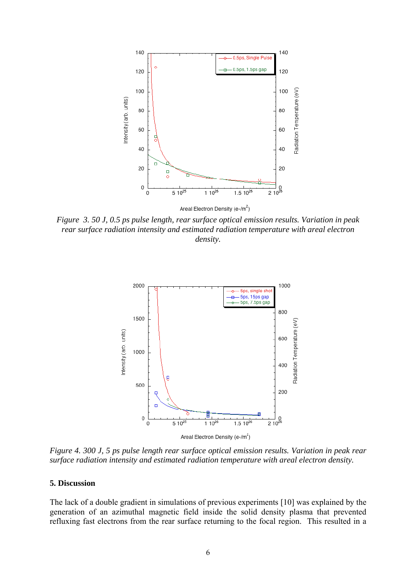

*Figure 3. 50 J, 0.5 ps pulse length, rear surface optical emission results. Variation in peak rear surface radiation intensity and estimated radiation temperature with areal electron density.* 



*Figure 4. 300 J, 5 ps pulse length rear surface optical emission results. Variation in peak rear surface radiation intensity and estimated radiation temperature with areal electron density.* 

## **5. Discussion**

The lack of a double gradient in simulations of previous experiments [10] was explained by the generation of an azimuthal magnetic field inside the solid density plasma that prevented refluxing fast electrons from the rear surface returning to the focal region. This resulted in a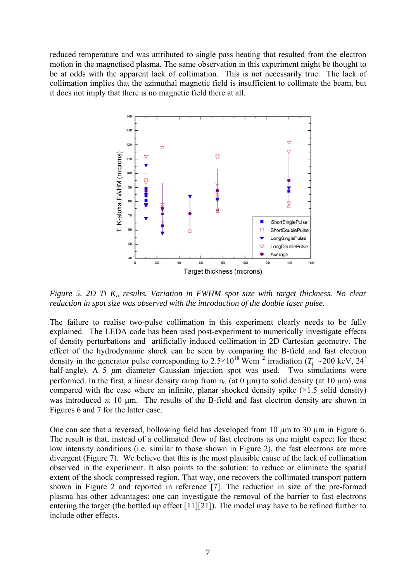reduced temperature and was attributed to single pass heating that resulted from the electron motion in the magnetised plasma. The same observation in this experiment might be thought to be at odds with the apparent lack of collimation. This is not necessarily true. The lack of collimation implies that the azimuthal magnetic field is insufficient to collimate the beam, but it does not imply that there is no magnetic field there at all.



*Figure 5. 2D Ti K*α *results. Variation in FWHM spot size with target thickness. No clear reduction in spot size was observed with the introduction of the double laser pulse.* 

The failure to realise two-pulse collimation in this experiment clearly needs to be fully explained. The LEDA code has been used post-experiment to numerically investigate effects of density perturbations and artificially induced collimation in 2D Cartesian geometry. The effect of the hydrodynamic shock can be seen by comparing the B-field and fast electron density in the generator pulse corresponding to  $2.5 \times 10^{18}$  Wcm<sup>-2</sup> irradiation ( $T_f \sim 200$  keV, 24<sup>°</sup> half-angle). A 5  $\mu$ m diameter Gaussian injection spot was used. Two simulations were performed. In the first, a linear density ramp from  $n_c$  (at 0  $\mu$ m) to solid density (at 10  $\mu$ m) was compared with the case where an infinite, planar shocked density spike  $(\times 1.5 \text{ solid density})$ was introduced at 10 µm. The results of the B-field and fast electron density are shown in Figures 6 and 7 for the latter case.

One can see that a reversed, hollowing field has developed from 10  $\mu$ m to 30  $\mu$ m in Figure 6. The result is that, instead of a collimated flow of fast electrons as one might expect for these low intensity conditions (i.e. similar to those shown in Figure 2), the fast electrons are more divergent (Figure 7). We believe that this is the most plausible cause of the lack of collimation observed in the experiment. It also points to the solution: to reduce or eliminate the spatial extent of the shock compressed region. That way, one recovers the collimated transport pattern shown in Figure 2 and reported in reference [7]. The reduction in size of the pre-formed plasma has other advantages: one can investigate the removal of the barrier to fast electrons entering the target (the bottled up effect [11][21]). The model may have to be refined further to include other effects.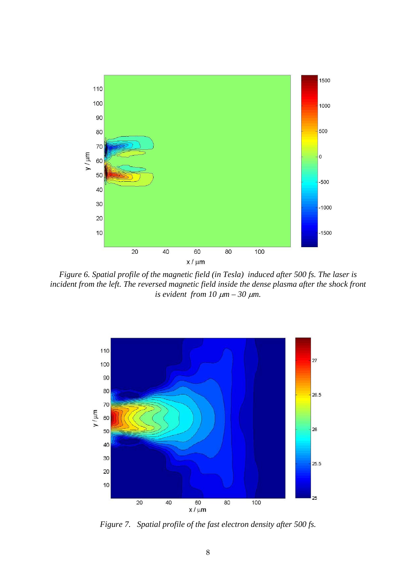

*Figure 6. Spatial profile of the magnetic field (in Tesla) induced after 500 fs. The laser is*  incident from the left. The reversed magnetic field inside the dense plasma after the shock front *is evident from 10*  $\mu$ *m – 30*  $\mu$ *m.* 



*Figure 7. Spatial profile of the fast electron density after 500 fs.*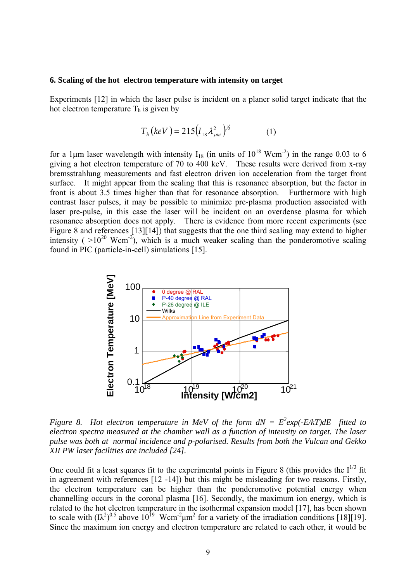#### **6. Scaling of the hot electron temperature with intensity on target**

Experiments [12] in which the laser pulse is incident on a planer solid target indicate that the hot electron temperature  $T<sub>h</sub>$  is given by

$$
T_h (keV) = 215 (I_{18} \lambda_{\mu m}^2)^{1/3}
$$
 (1)

for a 1 $\mu$ m laser wavelength with intensity I<sub>18</sub> (in units of 10<sup>18</sup> Wcm<sup>-2</sup>) in the range 0.03 to 6 giving a hot electron temperature of 70 to 400 keV. These results were derived from x-ray bremsstrahlung measurements and fast electron driven ion acceleration from the target front surface. It might appear from the scaling that this is resonance absorption, but the factor in front is about 3.5 times higher than that for resonance absorption. Furthermore with high contrast laser pulses, it may be possible to minimize pre-plasma production associated with laser pre-pulse, in this case the laser will be incident on an overdense plasma for which resonance absorption does not apply. There is evidence from more recent experiments (see Figure 8 and references [13][14]) that suggests that the one third scaling may extend to higher intensity ( $>10^{20}$  Wcm<sup>-2</sup>), which is a much weaker scaling than the ponderomotive scaling found in PIC (particle-in-cell) simulations [15].



*Figure 8. Hot electron temperature in MeV of the form*  $dN = E^2 exp(-E/kT) dE$  *fitted to electron spectra measured at the chamber wall as a function of intensity on target. The laser pulse was both at normal incidence and p-polarised. Results from both the Vulcan and Gekko XII PW laser facilities are included [24].* 

One could fit a least squares fit to the experimental points in Figure 8 (this provides the  $I^{1/3}$  fit in agreement with references [12 -14]) but this might be misleading for two reasons. Firstly, the electron temperature can be higher than the ponderomotive potential energy when channelling occurs in the coronal plasma [16]. Secondly, the maximum ion energy, which is related to the hot electron temperature in the isothermal expansion model [17], has been shown to scale with  $\left(\frac{1}{2}\right)^{0.5}$  above  $10^{19}$  Wcm<sup>-2</sup> $\mu$ m<sup>2</sup> for a variety of the irradiation conditions [18][19]. Since the maximum ion energy and electron temperature are related to each other, it would be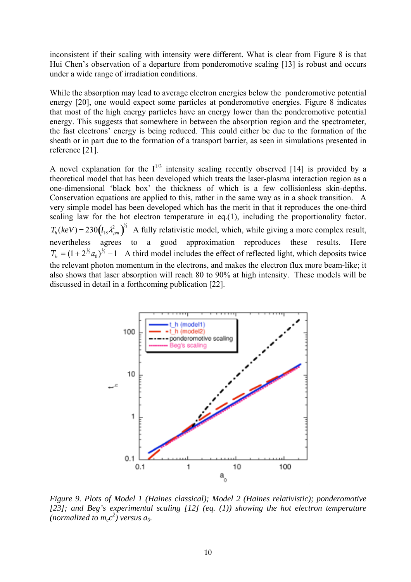inconsistent if their scaling with intensity were different. What is clear from Figure 8 is that Hui Chen's observation of a departure from ponderomotive scaling [13] is robust and occurs under a wide range of irradiation conditions.

While the absorption may lead to average electron energies below the ponderomotive potential energy [20], one would expect some particles at ponderomotive energies. Figure 8 indicates that most of the high energy particles have an energy lower than the ponderomotive potential energy. This suggests that somewhere in between the absorption region and the spectrometer, the fast electrons' energy is being reduced. This could either be due to the formation of the sheath or in part due to the formation of a transport barrier, as seen in simulations presented in reference [21].

A novel explanation for the  $I^{1/3}$  intensity scaling recently observed [14] is provided by a theoretical model that has been developed which treats the laser-plasma interaction region as a one-dimensional 'black box' the thickness of which is a few collisionless skin-depths. Conservation equations are applied to this, rather in the same way as in a shock transition. A very simple model has been developed which has the merit in that it reproduces the one-third scaling law for the hot electron temperature in eq.(1), including the proportionality factor.  $T_h (keV) = 230 (I_{18} \lambda_{\mu m}^2)^{1/3}$  A fully relativistic model, which, while giving a more complex result, nevertheless agrees to a good approximation reproduces these results. Here  $T_h = (1 + 2^{1/2} a_0)^{1/2} - 1$  A third model includes the effect of reflected light, which deposits twice the relevant photon momentum in the electrons, and makes the electron flux more beam-like; it also shows that laser absorption will reach 80 to 90% at high intensity. These models will be discussed in detail in a forthcoming publication [22].



*Figure 9. Plots of Model 1 (Haines classical); Model 2 (Haines relativistic); ponderomotive [23]; and Beg's experimental scaling [12] (eq. (1)) showing the hot electron temperature*  (normalized to  $m_ec^2$ ) versus  $a_0$ .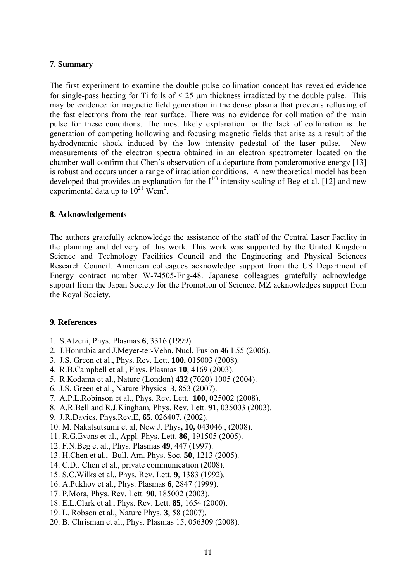## **7. Summary**

The first experiment to examine the double pulse collimation concept has revealed evidence for single-pass heating for Ti foils of  $\leq 25 \mu m$  thickness irradiated by the double pulse. This may be evidence for magnetic field generation in the dense plasma that prevents refluxing of the fast electrons from the rear surface. There was no evidence for collimation of the main pulse for these conditions. The most likely explanation for the lack of collimation is the generation of competing hollowing and focusing magnetic fields that arise as a result of the hydrodynamic shock induced by the low intensity pedestal of the laser pulse. New measurements of the electron spectra obtained in an electron spectrometer located on the chamber wall confirm that Chen's observation of a departure from ponderomotive energy [13] is robust and occurs under a range of irradiation conditions. A new theoretical model has been developed that provides an explanation for the  $I^{1/3}$  intensity scaling of Beg et al. [12] and new experimental data up to  $10^{21}$  Wcm<sup>2</sup>.

## **8. Acknowledgements**

The authors gratefully acknowledge the assistance of the staff of the Central Laser Facility in the planning and delivery of this work. This work was supported by the United Kingdom Science and Technology Facilities Council and the Engineering and Physical Sciences Research Council. American colleagues acknowledge support from the US Department of Energy contract number W-74505-Eng-48. Japanese colleagues gratefully acknowledge support from the Japan Society for the Promotion of Science. MZ acknowledges support from the Royal Society.

#### **9. References**

- 1. S.Atzeni, Phys. Plasmas **6**, 3316 (1999).
- 2. J.Honrubia and J.Meyer-ter-Vehn, Nucl. Fusion **46** L55 (2006).
- 3. J.S. Green et al., Phys. Rev. Lett. **100**, 015003 (2008).
- 4. R.B.Campbell et al., Phys. Plasmas **10**, 4169 (2003).
- 5. R.Kodama et al., Nature (London) **432** (7020) 1005 (2004).
- 6. J.S. Green et al., Nature Physics **3**, 853 (2007).
- 7. A.P.L.Robinson et al., Phys. Rev. Lett. **100,** 025002 (2008).
- 8. A.R.Bell and R.J.Kingham, Phys. Rev. Lett. **91**, 035003 (2003).
- 9. J.R.Davies, Phys.Rev.E, **65**, 026407, (2002).
- 10. M. Nakatsutsumi et al, New J. Phys**, 10,** 043046 , (2008).
- 11. R.G.Evans et al., Appl. Phys. Lett. **86¸** 191505 (2005).
- 12. F.N.Beg et al., Phys. Plasmas **49**, 447 (1997).
- 13. H.Chen et al., Bull. Am. Phys. Soc. **50**, 1213 (2005).
- 14. C.D.. Chen et al., private communication (2008).
- 15. S.C.Wilks et al., Phys. Rev. Lett. **9**, 1383 (1992).
- 16. A.Pukhov et al., Phys. Plasmas **6**, 2847 (1999).
- 17. P.Mora, Phys. Rev. Lett. **90**, 185002 (2003).
- 18. E.L.Clark et al., Phys. Rev. Lett. **85**, 1654 (2000).
- 19. L. Robson et al., Nature Phys. **3**, 58 (2007).
- 20. B. Chrisman et al., Phys. Plasmas 15, 056309 (2008).